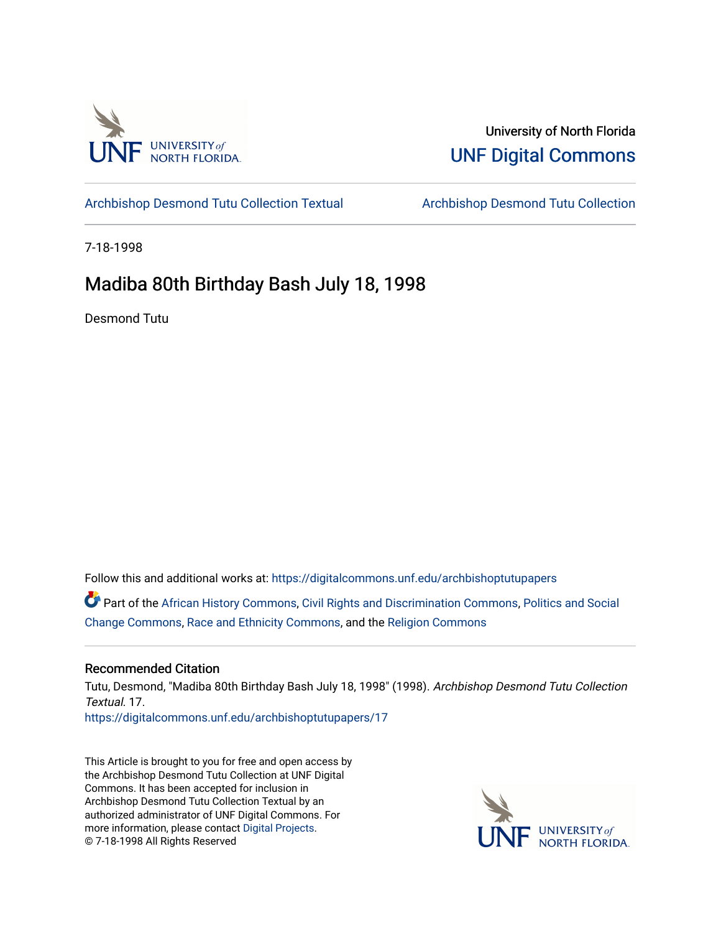

### University of North Florida [UNF Digital Commons](https://digitalcommons.unf.edu/)

[Archbishop Desmond Tutu Collection Textual](https://digitalcommons.unf.edu/archbishoptutupapers) [Archbishop Desmond Tutu Collection](https://digitalcommons.unf.edu/archbishoptutu) 

7-18-1998

## Madiba 80th Birthday Bash July 18, 1998

Desmond Tutu

Follow this and additional works at: [https://digitalcommons.unf.edu/archbishoptutupapers](https://digitalcommons.unf.edu/archbishoptutupapers?utm_source=digitalcommons.unf.edu%2Farchbishoptutupapers%2F17&utm_medium=PDF&utm_campaign=PDFCoverPages)

Part of the [African History Commons](http://network.bepress.com/hgg/discipline/490?utm_source=digitalcommons.unf.edu%2Farchbishoptutupapers%2F17&utm_medium=PDF&utm_campaign=PDFCoverPages), [Civil Rights and Discrimination Commons](http://network.bepress.com/hgg/discipline/585?utm_source=digitalcommons.unf.edu%2Farchbishoptutupapers%2F17&utm_medium=PDF&utm_campaign=PDFCoverPages), [Politics and Social](http://network.bepress.com/hgg/discipline/425?utm_source=digitalcommons.unf.edu%2Farchbishoptutupapers%2F17&utm_medium=PDF&utm_campaign=PDFCoverPages) [Change Commons](http://network.bepress.com/hgg/discipline/425?utm_source=digitalcommons.unf.edu%2Farchbishoptutupapers%2F17&utm_medium=PDF&utm_campaign=PDFCoverPages), [Race and Ethnicity Commons](http://network.bepress.com/hgg/discipline/426?utm_source=digitalcommons.unf.edu%2Farchbishoptutupapers%2F17&utm_medium=PDF&utm_campaign=PDFCoverPages), and the [Religion Commons](http://network.bepress.com/hgg/discipline/538?utm_source=digitalcommons.unf.edu%2Farchbishoptutupapers%2F17&utm_medium=PDF&utm_campaign=PDFCoverPages)

#### Recommended Citation

Tutu, Desmond, "Madiba 80th Birthday Bash July 18, 1998" (1998). Archbishop Desmond Tutu Collection Textual. 17.

[https://digitalcommons.unf.edu/archbishoptutupapers/17](https://digitalcommons.unf.edu/archbishoptutupapers/17?utm_source=digitalcommons.unf.edu%2Farchbishoptutupapers%2F17&utm_medium=PDF&utm_campaign=PDFCoverPages) 

This Article is brought to you for free and open access by the Archbishop Desmond Tutu Collection at UNF Digital Commons. It has been accepted for inclusion in Archbishop Desmond Tutu Collection Textual by an authorized administrator of UNF Digital Commons. For more information, please contact [Digital Projects](mailto:lib-digital@unf.edu). © 7-18-1998 All Rights Reserved

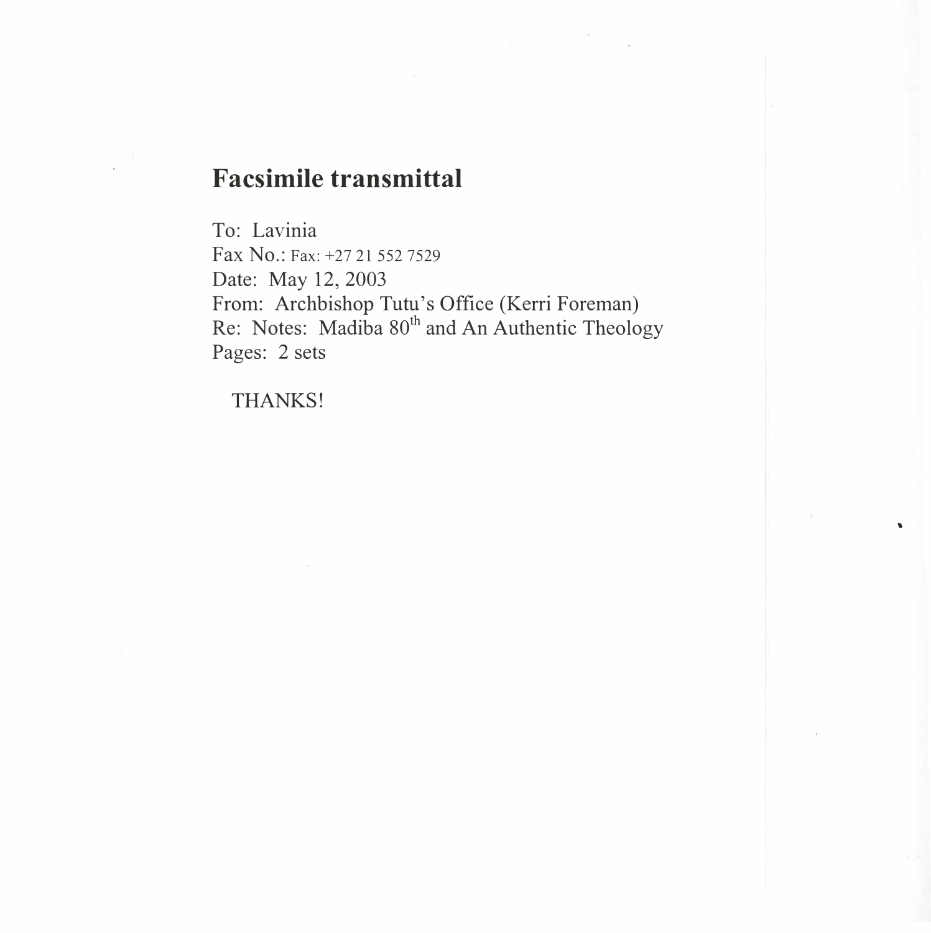# **Facsimile transmittal**

To: Lavinia Fax No.: Fax: +27 21 552 7529 Date: May 12, 2003 From: Archbishop Tutu's Office (Kerri Foreman) Re: Notes: Madiba 80<sup>th</sup> and An Authentic Theology Pages: 2 sets

THANKS!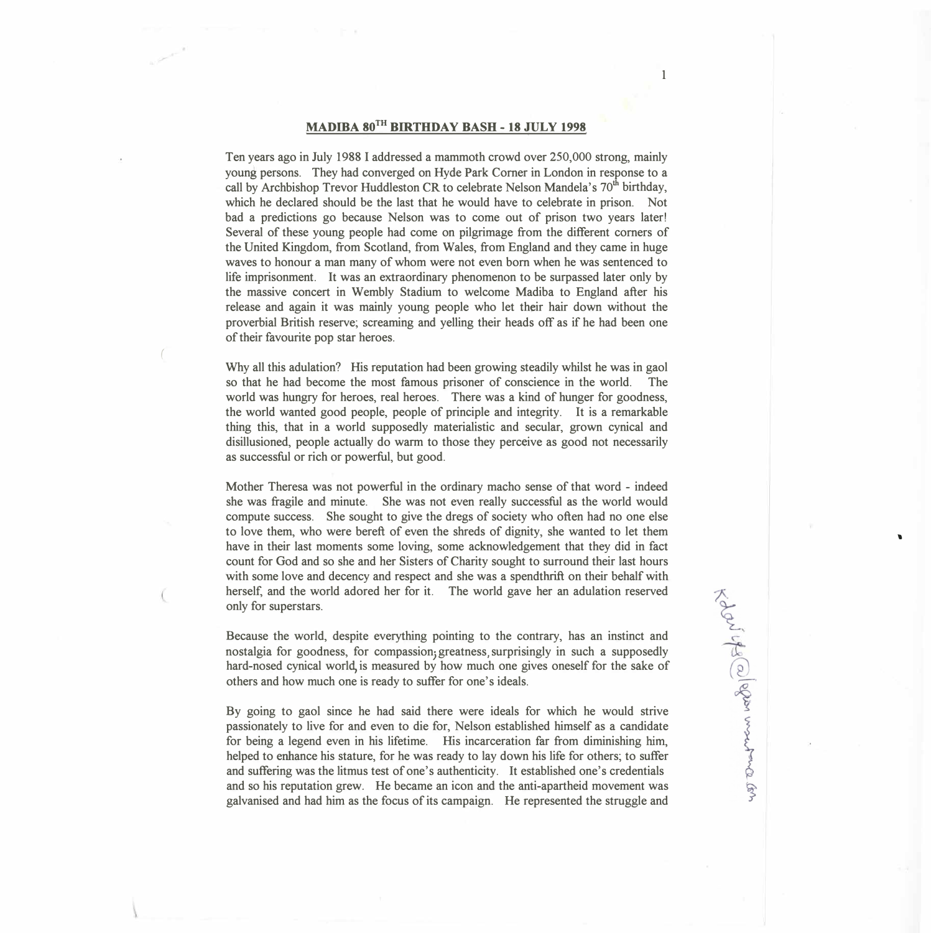#### **MAD IBA 80TH BffiTHDA Y BASH - 18 JULY 1998**

Ten years ago in July 1988 I addressed a mammoth crowd over 250,000 strong, mainly young persons. They had converged on Hyde Park Corner in London in response to a call by Archbishop Trevor Huddleston CR to celebrate Nelson Mandela's 70<sup>th</sup> birthday, which he declared should be the last that he would have to celebrate in prison. Not bad a predictions go because Nelson was to come out of prison two years later! Several of these young people had come on pilgrimage from the different corners of the United Kingdom, from Scotland, from Wales, from England and they came in huge waves to honour a man many of whom were not even born when he was sentenced to life imprisonment. **It** was an extraordinary phenomenon to be surpassed later only by the massive concert in Wembly Stadium to welcome Madiba to England after his release and again it was mainly young people who let th�ir hair down without the proverbial British reserve; screaming and yelling their heads off as if he had been one of their favourite pop star heroes.

Why all this adulation? His reputation had been growing steadily whilst he was in gaol so that he had become the most famous prisoner of conscience in the world. The world was hungry for heroes, real heroes. There was a kind of hunger for goodness, the world wanted good people, people of principle and integrity. It is a remarkable thing this, that in a world supposedly materialistic and secular, grown cynical and disillusioned, people actually do warm to those they perc�ive as good not necessarily as successful or rich or powerful, but good.

Mother Theresa was not powerful in the ordinary macho sense of that word - indeed she was fragile and minute. She was not even really successful as the world would compute success. She sought to give the dregs of society who often had no one else to love them, who were bereft of even the shreds of dignity, she wanted to let them have in their last moments some loving, some acknowledgement that they did in fact count for God and so she and her Sisters of Charity sought to surround their last hours with some love and decency and respect and she was a spendthrift on their behalf with herself, and the world adored her for it. The world gave her an adulation reserved only for superstars.

Because the world, despite everything pointing to the contrary, has an instinct and nostalgia for goodness, for compassion; greatness, surprisingly in such a supposedly hard-nosed cynical world, is measured by how much one gives oneself for the sake of others and how much one is ready to suffer for one's ideals.

By going to gaol since he had said there were ideals for which he would strive passionately to live for and even to die for, Nelson established himself as a candidate for being a legend even in his lifetime. His incarceration far from diminishing him, helped to enhance his stature, for he was ready to lay down his life for others; to suffer and suffering was the litmus test of one's authenticity. **It** established one's credentials and so his reputation grew. He became an icon and the anti-apartheid movement was galvanised and had him as the focus of its campaign. He represented the struggle and

I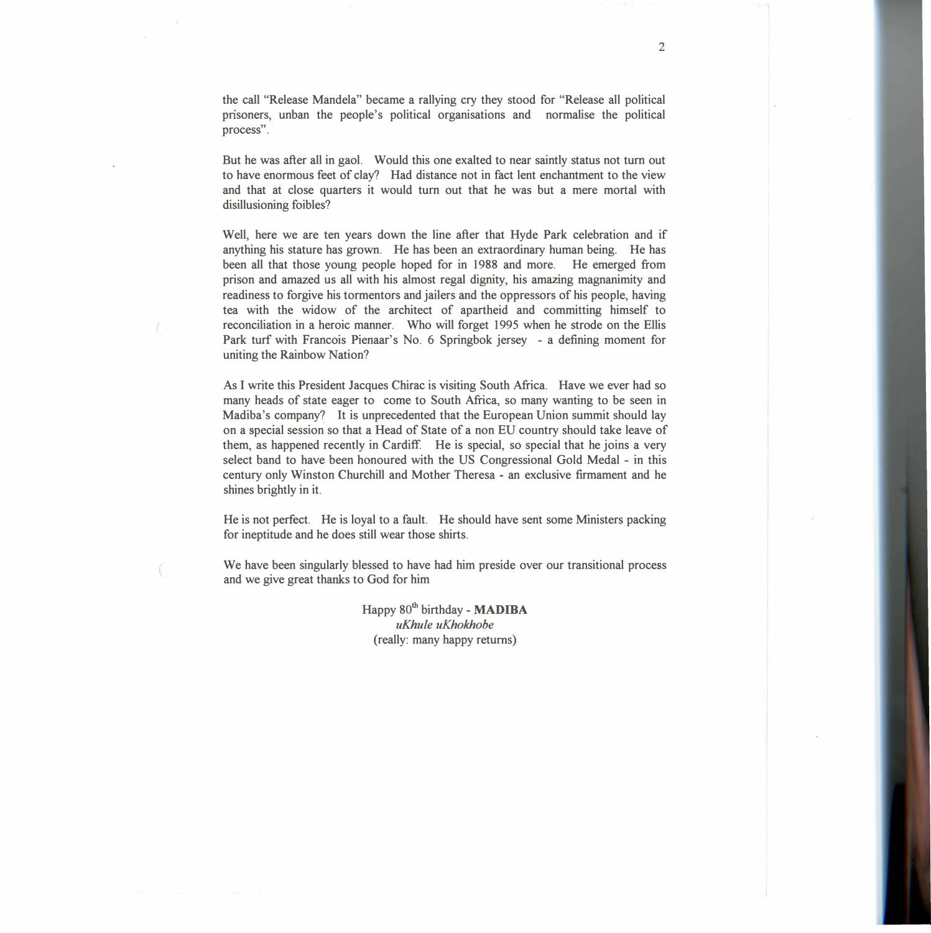the call "Release Mandela" became a rallying cry they stood for "Release all political pnsoners, unban the people's political organisations and normalise the political process".

But he was after all in gaol. Would this one exalted to near saintly status not tum out to have enormous feet of clay? Had distance not in fact lent enchantment to the view and that at close quarters it would tum out that he was but a mere mortal with disillusioning foibles?

Well, here we are ten years down the line after that Hyde Park celebration and if anything his stature has grown. He has been an extraordinary human being. He has been all that those young people hoped for in 1988 and more. He emerged from prison and amazed us all with his almost regal dignity, his amazing magnanimity and readiness to forgive his tormentors and jailers and the oppressors of his people, having tea with the widow of the architect of apartheid and committing himself to reconciliation in a heroic manner. Who will forget 1995 when he strode on the Ellis Park turf with Francois Pienaar's No. 6 Springbok jersey - a defining moment for uniting the Rainbow Nation?

As I write this President Jacques Chirac is visiting South Africa. Have we ever had so many heads of state eager to come to South Africa, so many wanting to be seen in Madiba's company? It is unprecedented that the European Union summit should lay on a special session so that a Head of State of a non EU country should take leave of them, as happened recently in Cardiff. He is special, so special that he joins a very select band to have been honoured with the US Congressional Gold Medal - in this century only Winston Churchill and Mother Theresa • an exclusive firmament and he shines brightly in it.

He is not perfect. He is loyal to a fault. He should have sent some Ministers packing for ineptitude and he does still wear those shirts.

We have been singularly blessed to have had him preside over our transitional process and we give great thanks to God for him

> Happy  $80^{th}$  birthday - MADIBA *uKhule uKhokhobe*  (really: many happy returns)